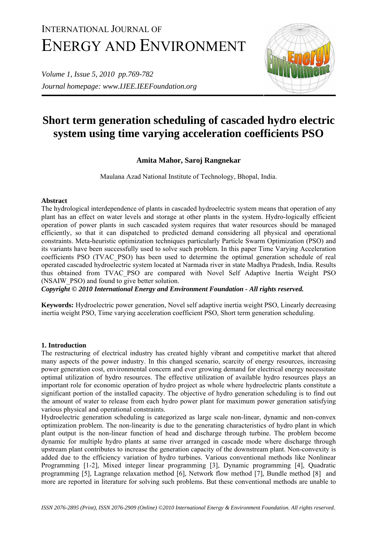# INTERNATIONAL JOURNAL OF ENERGY AND ENVIRONMENT

*Volume 1, Issue 5, 2010 pp.769-782 Journal homepage: www.IJEE.IEEFoundation.org* 



## **Short term generation scheduling of cascaded hydro electric system using time varying acceleration coefficients PSO**

## **Amita Mahor, Saroj Rangnekar**

Maulana Azad National Institute of Technology, Bhopal, India.

## **Abstract**

The hydrological interdependence of plants in cascaded hydroelectric system means that operation of any plant has an effect on water levels and storage at other plants in the system. Hydro-logically efficient operation of power plants in such cascaded system requires that water resources should be managed efficiently, so that it can dispatched to predicted demand considering all physical and operational constraints. Meta-heuristic optimization techniques particularly Particle Swarm Optimization (PSO) and its variants have been successfully used to solve such problem. In this paper Time Varying Acceleration coefficients PSO (TVAC\_PSO) has been used to determine the optimal generation schedule of real operated cascaded hydroelectric system located at Narmada river in state Madhya Pradesh, India. Results thus obtained from TVAC\_PSO are compared with Novel Self Adaptive Inertia Weight PSO (NSAIW\_PSO) and found to give better solution.

*Copyright © 2010 International Energy and Environment Foundation - All rights reserved.*

**Keywords:** Hydroelectric power generation, Novel self adaptive inertia weight PSO, Linearly decreasing inertia weight PSO, Time varying acceleration coefficient PSO, Short term generation scheduling.

## **1. Introduction**

The restructuring of electrical industry has created highly vibrant and competitive market that altered many aspects of the power industry. In this changed scenario, scarcity of energy resources, increasing power generation cost, environmental concern and ever growing demand for electrical energy necessitate optimal utilization of hydro resources. The effective utilization of available hydro resources plays an important role for economic operation of hydro project as whole where hydroelectric plants constitute a significant portion of the installed capacity. The objective of hydro generation scheduling is to find out the amount of water to release from each hydro power plant for maximum power generation satisfying various physical and operational constraints.

Hydroelectric generation scheduling is categorized as large scale non-linear, dynamic and non-convex optimization problem. The non-linearity is due to the generating characteristics of hydro plant in which plant output is the non-linear function of head and discharge through turbine. The problem become dynamic for multiple hydro plants at same river arranged in cascade mode where discharge through upstream plant contributes to increase the generation capacity of the downstream plant. Non-convexity is added due to the efficiency variation of hydro turbines. Various conventional methods like Nonlinear Programming [1-2], Mixed integer linear programming [3], Dynamic programming [4], Quadratic programming [5], Lagrange relaxation method [6], Network flow method [7], Bundle method [8] and more are reported in literature for solving such problems. But these conventional methods are unable to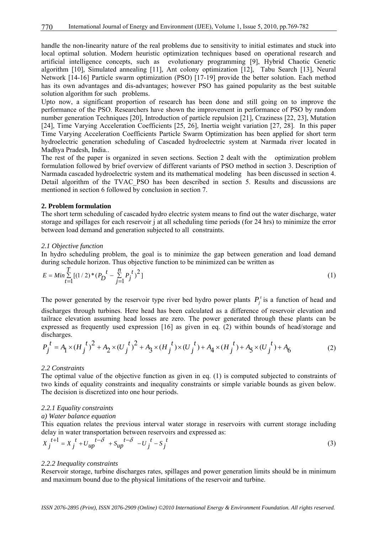handle the non-linearity nature of the real problems due to sensitivity to initial estimates and stuck into local optimal solution. Modern heuristic optimization techniques based on operational research and artificial intelligence concepts, such as evolutionary programming [9], Hybrid Chaotic Genetic algorithm [10], Simulated annealing [11], Ant colony optimization [12], Tabu Search [13], Neural Network [14-16] Particle swarm optimization (PSO) [17-19] provide the better solution. Each method has its own advantages and dis-advantages; however PSO has gained popularity as the best suitable solution algorithm for such problems.

Upto now, a significant proportion of research has been done and still going on to improve the performance of the PSO. Researchers have shown the improvement in performance of PSO by random number generation Techniques [20], Introduction of particle repulsion [21], Craziness [22, 23], Mutation [24], Time Varying Acceleration Coefficients [25, 26], Inertia weight variation [27, 28]. In this paper Time Varying Acceleration Coefficients Particle Swarm Optimization has been applied for short term hydroelectric generation scheduling of Cascaded hydroelectric system at Narmada river located in Madhya Pradesh, India..

The rest of the paper is organized in seven sections. Section 2 dealt with the optimization problem formulation followed by brief overview of different variants of PSO method in section 3. Description of Narmada cascaded hydroelectric system and its mathematical modeling has been discussed in section 4. Detail algorithm of the TVAC\_PSO has been described in section 5. Results and discussions are mentioned in section 6 followed by conclusion in section 7.

### **2. Problem formulation**

The short term scheduling of cascaded hydro electric system means to find out the water discharge, water storage and spillages for each reservoir j at all scheduling time periods (for 24 hrs) to minimize the error between load demand and generation subjected to all constraints.

### *2.1 Objective function*

In hydro scheduling problem, the goal is to minimize the gap between generation and load demand during schedule horizon. Thus objective function to be minimized can be written as

$$
E = Min \sum_{t=1}^{T} [(1/2) * (P_D^t - \sum_{j=1}^{n} P_j^t)^2]
$$
\n(1)

The power generated by the reservoir type river bed hydro power plants  $P_i^t$  is a function of head and discharges through turbines. Here head has been calculated as a difference of reservoir elevation and tailrace elevation assuming head losses are zero. The power generated through these plants can be expressed as frequently used expression [16] as given in eq. (2) within bounds of head/storage and discharges.

$$
P_j^t = A_1 \times (H_j^t)^2 + A_2 \times (U_j^t)^2 + A_3 \times (H_j^t) \times (U_j^t) + A_4 \times (H_j^t) + A_5 \times (U_j^t) + A_6 \tag{2}
$$

#### *2.2 Constraints*

The optimal value of the objective function as given in eq. (1) is computed subjected to constraints of two kinds of equality constraints and inequality constraints or simple variable bounds as given below. The decision is discretized into one hour periods.

#### *2.2.1 Equality constraints*

#### *a) Water balance equation*

This equation relates the previous interval water storage in reservoirs with current storage including delay in water transportation between reservoirs and expressed as:

$$
X_j^{t+1} = X_j^t + U_{up}^{t-\delta} + S_{up}^{t-\delta} - U_j^t - S_j^t
$$
 (3)

#### *2.2.2 Inequality constraints*

Reservoir storage, turbine discharges rates, spillages and power generation limits should be in minimum and maximum bound due to the physical limitations of the reservoir and turbine.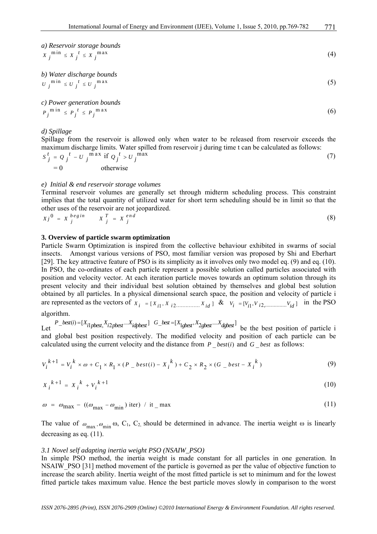a) *Reservoir storage bounds*  

$$
X_j^{\min} \leq X_j^{\ t} \leq X_j^{\max}
$$
 (4)

b) Water discharge bounds  

$$
U_j^{\min} \le U_j^{\ t} \le U_j^{\max} \tag{5}
$$

*c) Power generation bounds*   $P_j^{\min} \leq P_j^{\ t} \leq P_j^{\max}$  (6)

*d) Spillage* 

Spillage from the reservoir is allowed only when water to be released from reservoir exceeds the maximum discharge limits. Water spilled from reservoir j during time t can be calculated as follows:

$$
S_j^t = Q_j^t - U_j^{\max} \text{ if } Q_j^t > U_j^{\max}
$$
  
= 0 \totherwise \t(7)

#### *e) Initial & end reservoir storage volumes*

Terminal reservoir volumes are generally set through midterm scheduling process. This constraint implies that the total quantity of utilized water for short term scheduling should be in limit so that the other uses of the reservoir are not jeopardized.

$$
Xj^0 = X_j^{begin} X_j^T = X_j^{end} \tag{8}
$$

#### **3. Overview of particle swarm optimization**

Particle Swarm Optimization is inspired from the collective behaviour exhibited in swarms of social insects. Amongst various versions of PSO, most familiar version was proposed by Shi and Eberhart [29]. The key attractive feature of PSO is its simplicity as it involves only two model eq. (9) and eq. (10). In PSO, the co-ordinates of each particle represent a possible solution called particles associated with position and velocity vector. At each iteration particle moves towards an optimum solution through its present velocity and their individual best solution obtained by themselves and global best solution obtained by all particles. In a physical dimensional search space, the position and velocity of particle i are represented as the vectors of [, ] <sup>1</sup> 2............... *X XX X <sup>i</sup> <sup>i</sup> <sup>i</sup> id* <sup>=</sup> & [, ] *V VV V <sup>i</sup>* <sup>1</sup> *<sup>i</sup>*2,............... *<sup>i</sup> id* <sup>=</sup> in the PSO

algorithm.

Let  $P_{best}(i) = [X_{i}]_{pbest}$ ,  $X_{i2pbest}$  ...  $X_{idpbest}$   $G_{best} = [X_{1gbest}, X_{2gbest}$  ....  $X_{dgbest}]$  be the best position of particle i and global best position respectively. The modified velocity and position of each particle can be calculated using the current velocity and the distance from  $P$  best is all object as follows:

$$
V_i^{k+1} = V_i^k \times \omega + C_1 \times R_1 \times (P_{i} - best(i) - X_i^k) + C_2 \times R_2 \times (G_{i} - best - X_i^k)
$$
\n(9)

$$
X_i^{k+1} = X_i^k + V_i^{k+1} \tag{10}
$$

$$
\omega = \omega_{\text{max}} - ((\omega_{\text{max}} - \omega_{\text{min}}) \text{ iter}) / \text{ it} - \text{max}
$$
 (11)

The value of  $\omega_{\text{max}}$ ,  $\omega_{\text{min}}$  ω, C<sub>1</sub>, C<sub>2</sub>, should be determined in advance. The inertia weight ω is linearly decreasing as eq. (11).

#### *3.1 Novel self adapting inertia weight PSO (NSAIW\_PSO)*

In simple PSO method, the inertia weight is made constant for all particles in one generation. In NSAIW\_PSO [31] method movement of the particle is governed as per the value of objective function to increase the search ability. Inertia weight of the most fitted particle is set to minimum and for the lowest fitted particle takes maximum value. Hence the best particle moves slowly in comparison to the worst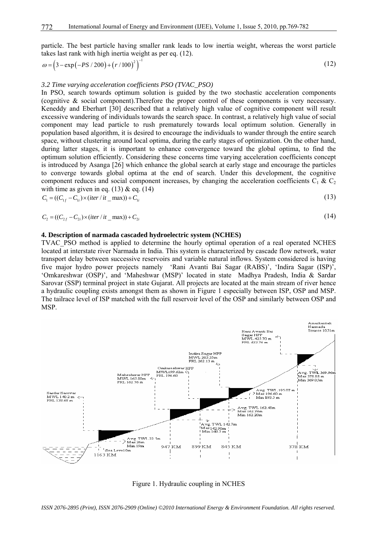particle. The best particle having smaller rank leads to low inertia weight, whereas the worst particle takes last rank with high inertia weight as per eq. (12).

$$
\omega = (3 - \exp(-PS/200) + (r/100)^2)^{-1}
$$
\n(12)

#### *3.2 Time varying acceleration coefficients PSO (TVAC\_PSO)*

In PSO, search towards optimum solution is guided by the two stochastic acceleration components (cognitive & social component).Therefore the proper control of these components is very necessary. Keneddy and Eberhart [30] described that a relatively high value of cognitive component will result excessive wandering of individuals towards the search space. In contrast, a relatively high value of social component may lead particle to rush prematurely towards local optimum solution. Generally in population based algorithm, it is desired to encourage the individuals to wander through the entire search space, without clustering around local optima, during the early stages of optimization. On the other hand, during latter stages, it is important to enhance convergence toward the global optima, to find the optimum solution efficiently. Considering these concerns time varying acceleration coefficients concept is introduced by Asanga [26] which enhance the global search at early stage and encourage the particles to converge towards global optima at the end of search. Under this development, the cognitive component reduces and social component increases, by changing the acceleration coefficients  $C_1 \& C_2$ with time as given in eq.  $(13)$  & eq.  $(14)$ 

$$
C_1 = ((C_{1f} - C_{1i}) \times (iter / it\_max)) + C_{1i}
$$
\n
$$
(13)
$$

$$
C_2 = ((C_{2f} - C_{2i}) \times (iter / it\_max)) + C_{2i}
$$
\n(14)

#### **4. Description of narmada cascaded hydroelectric system (NCHES)**

TVAC PSO method is applied to determine the hourly optimal operation of a real operated NCHES located at interstate river Narmada in India. This system is characterized by cascade flow network, water transport delay between successive reservoirs and variable natural inflows. System considered is having five major hydro power projects namely 'Rani Avanti Bai Sagar (RABS)', 'Indira Sagar (ISP)', 'Omkareshwar (OSP)', and 'Maheshwar (MSP)' located in state Madhya Pradesh, India & Sardar Sarovar (SSP) terminal project in state Gujarat. All projects are located at the main stream of river hence a hydraulic coupling exists amongst them as shown in Figure 1 especially between ISP, OSP and MSP. The tailrace level of ISP matched with the full reservoir level of the OSP and similarly between OSP and MSP.



Figure 1. Hydraulic coupling in NCHES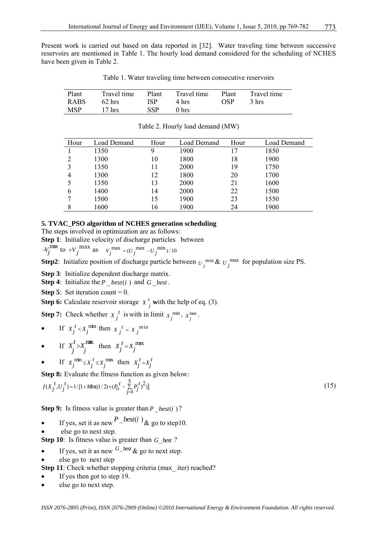Present work is carried out based on data reported in [32]. Water traveling time between successive reservoirs are mentioned in Table 1. The hourly load demand considered for the scheduling of NCHES have been given in Table 2.

Table 1. Water traveling time between consecutive reservoirs

| Plant      | Travel time      | Plant      | Travel time      | Plant | Travel time |
|------------|------------------|------------|------------------|-------|-------------|
| RABS       | $62$ hrs         | ISP        | 4 hrs            | OSP   | 3 hrs       |
| <b>MSP</b> | $17 \text{ hrs}$ | <b>SSP</b> | 0 <sub>hrs</sub> |       |             |

| Hour | Load Demand | Hour | Load Demand | Hour | Load Demand |
|------|-------------|------|-------------|------|-------------|
|      | 1350        | 9    | 1900        |      | 1850        |
|      | 1300        | 10   | 1800        | 18   | 1900        |
| 3    | 1350        | 11   | 2000        | 19   | 1750        |
| 4    | 1300        | 12   | 1800        | 20   | 1700        |
|      | 1350        | 13   | 2000        | 21   | 1600        |
| 6    | 1400        | 14   | 2000        | 22   | 1500        |
|      | 1500        | 15   | 1900        | 23   | 1550        |
| 8    | 1600        | 16   | 1900        | 24   | 1900        |

Table 2. Hourly load demand (MW)

## **5. TVAC\_PSO algorithm of NCHES generation scheduling**

The steps involved in optimization are as follows:

**Step 1**: Initialize velocity of discharge particles between

$$
-V_j^{\text{max}} \text{ to } +V_j^{\text{max}} \text{ as } V_j^{\text{max}} = (U_j^{\text{max}} - U_j^{\text{min}})/10
$$

**Step2**: Initialize position of discharge particle between  $U_j^{\text{min}} \& U_j^{\text{max}}$  for population size PS.

**Step 3**: Initialize dependent discharge matrix.

**Step 4**: Initialize the *P*  $best(i)$  and *G best*.

**Step 5**: Set iteration count  $= 0$ .

**Step 6:** Calculate reservoir storage  $X_j^t$  with the help of eq. (3).

**Step 7:** Check whether  $X_j^t$  is with in limit  $X_j^{\min}$ ,  $X_j^{\max}$ .

If  $X_i^t < X_j^{\text{min}}$  then  $X_i^t = X_j^{\text{min}}$ 

• If 
$$
X_j^t > X_j^{\text{max}}
$$
 then  $X_j^t = X_j^{\text{max}}$ 

If  $X_j^{\text{min}} \leq X_j^t \leq X_j^{\text{max}}$  then  $X_j^t = X_j^t$ 

**Step 8:** Evaluate the fitness function as given below:

$$
f(X_j^t, U_j^t) = 1/ [1 + Min((1/2) \times (P_D^t - \sum_{j=1}^5 P_j^t)^2)]
$$
\n(15)

**Step 9:** Is fitness value is greater than *P*  $best(i)$ ?

- If yes, set it as new  $P$ <sup>-best(i)</sup> & go to step10.
- else go to next step.

**Step 10**: Is fitness value is greater than *G* best?

- If yes, set it as new  $G$ -best  $\&$  go to next step.
- else go to next step

**Step 11**: Check whether stopping criteria (max iter) reached?

- If yes then got to step 19.
- else go to next step.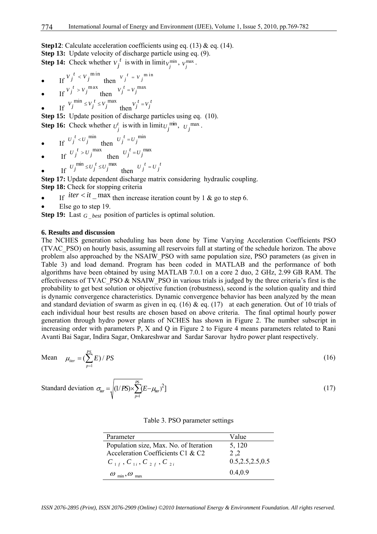**Step12**: Calculate acceleration coefficients using eq. (13) & eq. (14). **Step 13:** Update velocity of discharge particle using eq. (9). **Step 14:** Check whether  $v_j^t$  is with in limit  $v_j^{\text{min}}$ ,  $v_j^{\text{max}}$ .

- If  $V_j^t \le V_j^{\text{min}}$  then  $V_j^t = V_j^{\text{min}}$
- If  $V_j^t > V_j^{\text{max}}$  then  $V_j^t = V_j^{\text{max}}$

• If  $V_j^{\min} \le V_j^t \le V_j^{\max}$  then  $V_j^t = V_j^t$ 

**Step 15:** Update position of discharge particles using eq. (10). **Step 16:** Check whether  $U_j^t$  is with in limit  $U_j^{\min}$ ,  $U_j^{\max}$ .

• If 
$$
U_j^t < U_j^{\min}
$$
 then  $U_j^t = U_j^{\min}$ 

• If 
$$
U_j^t > U_j^{\text{max}}
$$
 then  $U_j^t = U_j^{\text{max}}$ 

• If 
$$
U_j^{\min} \le U_j^t \le U_j^{\max}
$$
 then  $U_j^t = U_j^t$ 

**Step 17:** Update dependent discharge matrix considering hydraulic coupling. **Step 18:** Check for stopping criteria

- If  $iter < it$  max then increase iteration count by 1 & go to step 6.
- Else go to step 19.

**Step 19:** Last  $G_{best}$  position of particles is optimal solution.

#### **6. Results and discussion**

The NCHES generation scheduling has been done by Time Varying Acceleration Coefficients PSO (TVAC\_PSO) on hourly basis, assuming all reservoirs full at starting of the schedule horizon. The above problem also approached by the NSAIW\_PSO with same population size, PSO parameters (as given in Table 3) and load demand. Program has been coded in MATLAB and the performance of both algorithms have been obtained by using MATLAB 7.0.1 on a core 2 duo, 2 GHz, 2.99 GB RAM. The effectiveness of TVAC\_PSO & NSAIW\_PSO in various trials is judged by the three criteria's first is the probability to get best solution or objective function (robustness), second is the solution quality and third is dynamic convergence characteristics. Dynamic convergence behavior has been analyzed by the mean and standard deviation of swarm as given in eq. (16)  $\&$  eq. (17) at each generation. Out of 10 trials of each individual hour best results are chosen based on above criteria. The final optimal hourly power generation through hydro power plants of NCHES has shown in Figure 2. The number subscript in increasing order with parameters P, X and Q in Figure 2 to Figure 4 means parameters related to Rani Avanti Bai Sagar, Indira Sagar, Omkareshwar and Sardar Sarovar hydro power plant respectively.

Mean 
$$
\mu_{\text{iter}} = \left(\sum_{p=1}^{PS} E\right) / PS
$$
 (16)

Standard deviation 
$$
\sigma_{\text{iter}} = \sqrt{(1/PS) \times \sum_{p=1}^{PS} (E - \mu_{\text{iter}})^2}
$$
 (17)

Table 3. PSO parameter settings

| Parameter                                 | Value              |
|-------------------------------------------|--------------------|
| Population size, Max. No. of Iteration    | 5, 120             |
| Acceleration Coefficients C1 & C2         | 2.2                |
| $C_{1f}$ , $C_{1i}$ , $C_{2f}$ , $C_{2i}$ | 0.5, 2.5, 2.5, 0.5 |
| $\omega_{\min}, \omega_{\max}$            | 0.4.0.9            |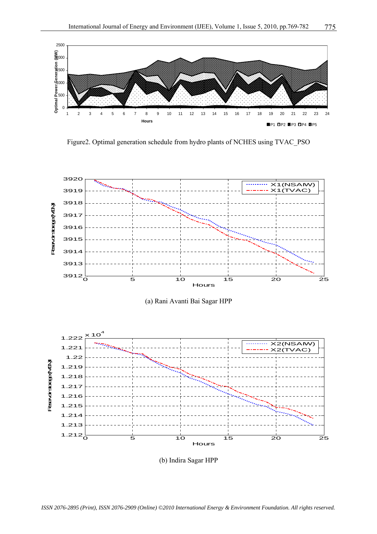

Figure2. Optimal generation schedule from hydro plants of NCHES using TVAC\_PSO



(a) Rani Avanti Bai Sagar HPP



(b) Indira Sagar HPP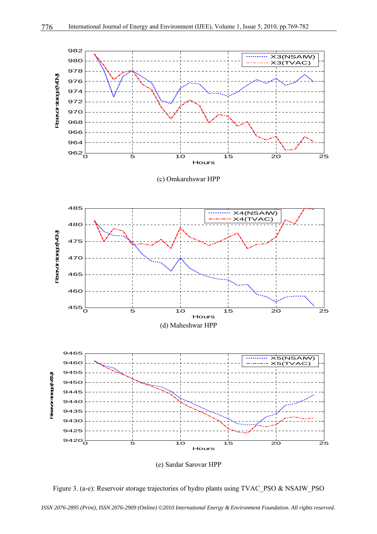

Figure 3. (a-e): Reservoir storage trajectories of hydro plants using TVAC\_PSO & NSAIW\_PSO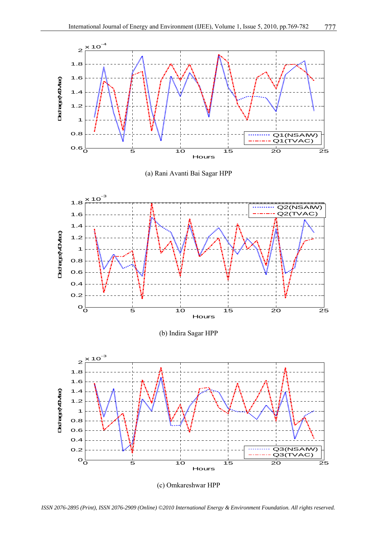

(a) Rani Avanti Bai Sagar HPP



(b) Indira Sagar HPP



(c) Omkareshwar HPP

*ISSN 2076-2895 (Print), ISSN 2076-2909 (Online) ©2010 International Energy & Environment Foundation. All rights reserved.*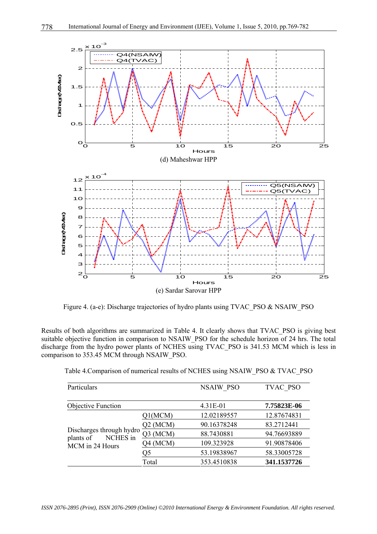

Figure 4. (a-e): Discharge trajectories of hydro plants using TVAC\_PSO & NSAIW\_PSO

Results of both algorithms are summarized in Table 4. It clearly shows that TVAC\_PSO is giving best suitable objective function in comparison to NSAIW\_PSO for the schedule horizon of 24 hrs. The total discharge from the hydro power plants of NCHES using TVAC\_PSO is 341.53 MCM which is less in comparison to 353.45 MCM through NSAIW\_PSO.

| Particulars                                       |            | <b>NSAIW PSO</b> | TVAC PSO    |
|---------------------------------------------------|------------|------------------|-------------|
| Objective Function                                |            | 4.31E-01         | 7.75823E-06 |
|                                                   | Q1(MCM)    | 12.02189557      | 12.87674831 |
|                                                   | $Q2$ (MCM) | 90.16378248      | 83.2712441  |
| Discharges through hydro<br>NCHES in<br>plants of | Q3 (MCM)   | 88.7430881       | 94.76693889 |
| MCM in 24 Hours                                   | Q4 (MCM)   | 109.323928       | 91.90878406 |
|                                                   | Q5         | 53.19838967      | 58.33005728 |
|                                                   | Total      | 353.4510838      | 341.1537726 |

Table 4.Comparison of numerical results of NCHES using NSAIW\_PSO & TVAC\_PSO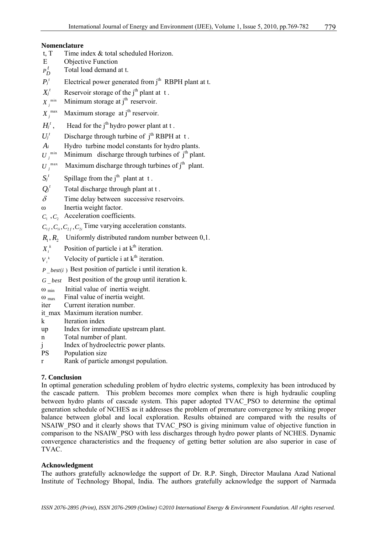## **Nomenclature**

- t, T  $\blacksquare$  Time index  $\&$  total scheduled Horizon.
- E Objective Function
- $P_D^t$  Total load demand at t.
- $P_i^t$  Electrical power generated from j<sup>th</sup> RBPH plant at t.
- $X_j^t$  Reservoir storage of the j<sup>th</sup> plant at t.<br>*X* <sup>*min*</sup> Minimum storage at j<sup>th</sup> reservoir.
- 
- $X_i^{\text{max}}$  Maximum storage at j<sup>th</sup> reservoir.
- $H_j^t$ , Head for the j<sup>th</sup> hydro power plant at t.
- $U_i^t$  Discharge through turbine of  $i^{th}$  RBPH at t.
- *A<sub>i</sub>* Hydro turbine model constants for hydro plants.  $U_j^{\min}$  Minimum discharge through turbines of  $j^{\text{th}}$  plan
- Minimum discharge through turbines of  $j<sup>th</sup>$  plant.
- $U_j^{\text{max}}$  Maximum discharge through turbines of j<sup>th</sup> plant.
- $S_i^t$  Spillage from the j<sup>th</sup> plant at t.
- $Q_i^t$  Total discharge through plant at t.
- $\delta$  Time delay between successive reservoirs.
- ω Inertia weight factor.
- $C_1$ ,  $C_2$  Acceleration coefficients.

 $C_{1}$ ,  $C_{1}$ ,  $C_{2}$ ,  $C_{2}$ ,  $C_{2}$  Time varying acceleration constants.

- $R_1, R_2$  Uniformly distributed random number between 0,1.
- $X_i^k$  Position of particle i at  $k^{\text{th}}$  iteration.
- $V_i^k$  Velocity of particle i at  $k^{\text{th}}$  iteration.

 $P$  *best(i)* Best position of particle i until iteration k.

- *G best* \_ Best position of the group until iteration k.
- $\omega$ <sub>min</sub> Initial value of inertia weight.
- $\omega_{\text{max}}$  Final value of inertia weight.
- iter Current iteration number.
- it max Maximum iteration number.
- k Iteration index
- up Index for immediate upstream plant.
- n Total number of plant.
- j Index of hydroelectric power plants.
- PS Population size
- r Rank of particle amongst population.

## **7. Conclusion**

In optimal generation scheduling problem of hydro electric systems, complexity has been introduced by the cascade pattern. This problem becomes more complex when there is high hydraulic coupling between hydro plants of cascade system. This paper adopted TVAC\_PSO to determine the optimal generation schedule of NCHES as it addresses the problem of premature convergence by striking proper balance between global and local exploration. Results obtained are compared with the results of NSAIW\_PSO and it clearly shows that TVAC\_PSO is giving minimum value of objective function in comparison to the NSAIW\_PSO with less discharges through hydro power plants of NCHES. Dynamic convergence characteristics and the frequency of getting better solution are also superior in case of TVAC.

## **Acknowledgment**

The authors gratefully acknowledge the support of Dr. R.P. Singh, Director Maulana Azad National Institute of Technology Bhopal, India. The authors gratefully acknowledge the support of Narmada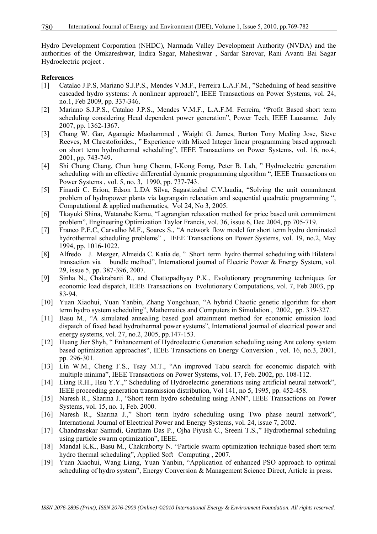Hydro Development Corporation (NHDC), Narmada Valley Development Authority (NVDA) and the authorities of the Omkareshwar, Indira Sagar, Maheshwar , Sardar Sarovar, Rani Avanti Bai Sagar Hydroelectric project .

#### **References**

- [1] Catalao J.P.S, Mariano S.J.P.S., Mendes V.M.F., Ferreira L.A.F.M., "Scheduling of head sensitive cascaded hydro systems: A nonlinear approach", IEEE Transactions on Power Systems, vol. 24, no.1, Feb 2009, pp. 337-346.
- [2] Mariano S.J.P.S., Catalao J.P.S., Mendes V.M.F., L.A.F.M. Ferreira, "Profit Based short term scheduling considering Head dependent power generation", Power Tech, IEEE Lausanne, July 2007, pp. 1362-1367.
- [3] Chang W. Gar, Aganagic Maohammed , Waight G. James, Burton Tony Meding Jose, Steve Reeves, M Chrestoforides., " Experience with Mixed Integer linear programming based approach on short term hydrothermal scheduling", IEEE Transactions on Power Systems, vol. 16, no.4, 2001, pp. 743-749.
- [4] Shi Chung Chang, Chun hung Chenm, I-Kong Fomg, Peter B. Lah, " Hydroelectric generation scheduling with an effective differential dynamic programming algorithm ", IEEE Transactions on Power Systems , vol. 5, no. 3, 1990, pp. 737-743.
- [5] Finardi C. Erion, Edson L.DA Silva, Sagastizabal C.V.laudia, "Solving the unit commitment problem of hydropower plants via lagrangain relaxation and sequential quadratic programming ", Computational & applied mathematics, Vol 24, No 3, 2005.
- [6] Tkayuki Shina, Watanabe Kamu, "Lagrangian relaxation method for price based unit commitment problem", Engineering Optimization Taylor Francis, vol. 36, issue 6, Dec 2004, pp 705-719.
- [7] Franco P.E.C, Carvalho M.F., Soares S., "A network flow model for short term hydro dominated hydrothermal scheduling problems" , IEEE Transactions on Power Systems, vol. 19, no.2, May 1994, pp. 1016-1022.
- [8] Alfredo J. Mezger, Almeida C. Katia de, " Short term hydro thermal scheduling with Bilateral transaction via bundle method", International journal of Electric Power & Energy System, vol. 29, issue 5, pp. 387-396, 2007.
- [9] Sinha N., Chakrabarti R., and Chattopadhyay P.K., Evolutionary programming techniques for economic load dispatch, IEEE Transactions on Evolutionary Computations, vol. 7, Feb 2003, pp. 83-94.
- [10] Yuan Xiaohui, Yuan Yanbin, Zhang Yongchuan, "A hybrid Chaotic genetic algorithm for short term hydro system scheduling", Mathematics and Computers in Simulation , 2002, pp. 319-327.
- [11] Basu M., "A simulated annealing based goal attainment method for economic emission load dispatch of fixed head hydrothermal power systems", International journal of electrical power and energy systems, vol. 27, no.2, 2005, pp.147-153.
- [12] Huang Jier Shyh, " Enhancement of Hydroelectric Generation scheduling using Ant colony system based optimization approaches", IEEE Transactions on Energy Conversion , vol. 16, no.3, 2001, pp. 296-301.
- [13] Lin W.M., Cheng F.S., Tsay M.T., "An improved Tabu search for economic dispatch with multiple minima", IEEE Transactions on Power Systems, vol. 17, Feb. 2002, pp. 108-112.
- [14] Liang R.H., Hsu Y.Y.," Scheduling of Hydroelectric generations using artificial neural network", IEEE proceeding generation transmission distribution, Vol 141, no 5, 1995, pp. 452-458.
- [15] Naresh R., Sharma J., "Short term hydro scheduling using ANN", IEEE Transactions on Power Systems, vol. 15, no. 1, Feb. 2000.
- [16] Naresh R., Sharma J.," Short term hydro scheduling using Two phase neural network", International Journal of Electrical Power and Energy Systems, vol. 24, issue 7, 2002.
- [17] Chandrasekar Samudi, Gautham Das P., Ojha Piyush C., Sreeni T.S.," Hydrothermal scheduling using particle swarm optimization", IEEE.
- [18] Mandal K.K., Basu M., Chakraborty N. "Particle swarm optimization technique based short term hydro thermal scheduling", Applied Soft Computing , 2007.
- [19] Yuan Xiaohui, Wang Liang, Yuan Yanbin, "Application of enhanced PSO approach to optimal scheduling of hydro system", Energy Conversion & Management Science Direct, Article in press.